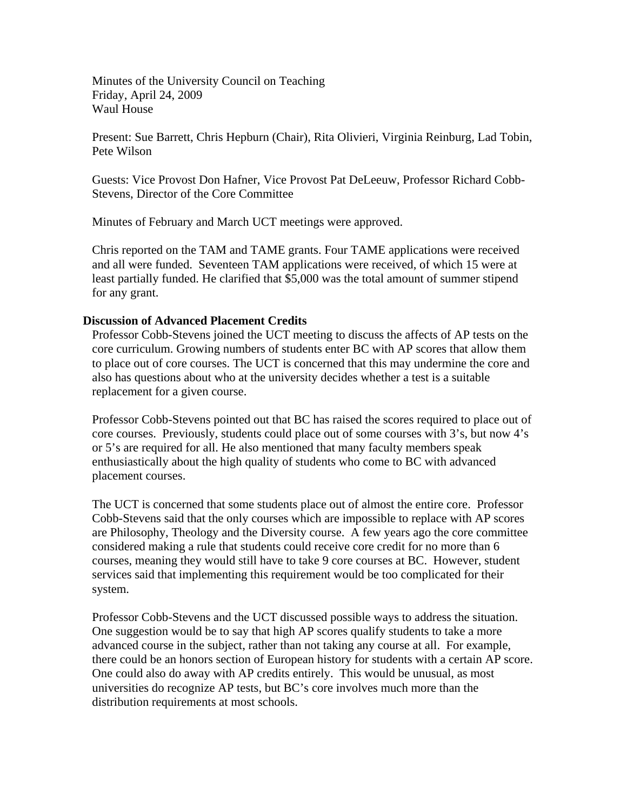Minutes of the University Council on Teaching Friday, April 24, 2009 Waul House

Present: Sue Barrett, Chris Hepburn (Chair), Rita Olivieri, Virginia Reinburg, Lad Tobin, Pete Wilson

Guests: Vice Provost Don Hafner, Vice Provost Pat DeLeeuw, Professor Richard Cobb-Stevens, Director of the Core Committee

Minutes of February and March UCT meetings were approved.

Chris reported on the TAM and TAME grants. Four TAME applications were received and all were funded. Seventeen TAM applications were received, of which 15 were at least partially funded. He clarified that \$5,000 was the total amount of summer stipend for any grant.

## **Discussion of Advanced Placement Credits**

Professor Cobb-Stevens joined the UCT meeting to discuss the affects of AP tests on the core curriculum. Growing numbers of students enter BC with AP scores that allow them to place out of core courses. The UCT is concerned that this may undermine the core and also has questions about who at the university decides whether a test is a suitable replacement for a given course.

Professor Cobb-Stevens pointed out that BC has raised the scores required to place out of core courses. Previously, students could place out of some courses with 3's, but now 4's or 5's are required for all. He also mentioned that many faculty members speak enthusiastically about the high quality of students who come to BC with advanced placement courses.

The UCT is concerned that some students place out of almost the entire core. Professor Cobb-Stevens said that the only courses which are impossible to replace with AP scores are Philosophy, Theology and the Diversity course. A few years ago the core committee considered making a rule that students could receive core credit for no more than 6 courses, meaning they would still have to take 9 core courses at BC. However, student services said that implementing this requirement would be too complicated for their system.

Professor Cobb-Stevens and the UCT discussed possible ways to address the situation. One suggestion would be to say that high AP scores qualify students to take a more advanced course in the subject, rather than not taking any course at all. For example, there could be an honors section of European history for students with a certain AP score. One could also do away with AP credits entirely. This would be unusual, as most universities do recognize AP tests, but BC's core involves much more than the distribution requirements at most schools.